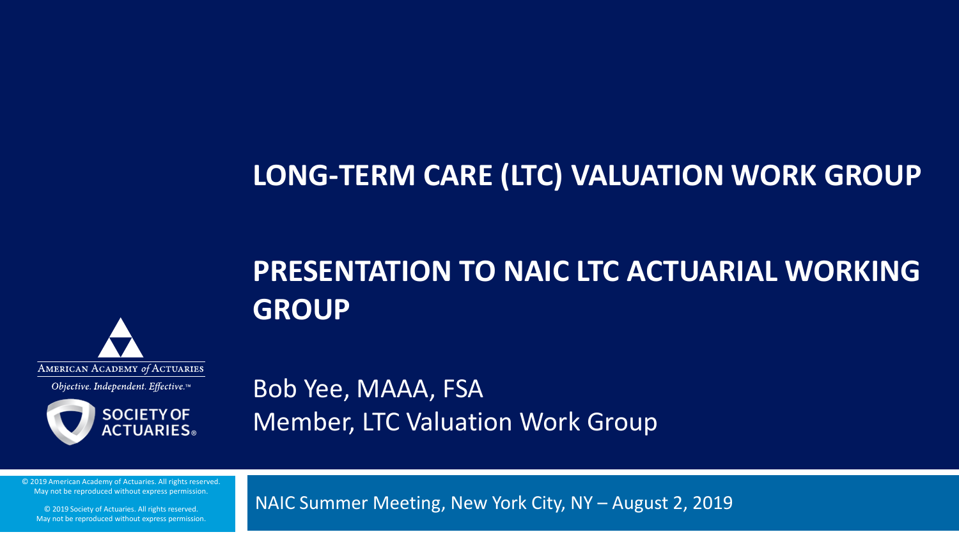#### **LONG-TERM CARE (LTC) VALUATION WORK GROUP**

#### **PRESENTATION TO NAIC LTC ACTUARIAL WORKING GROUP**



Objective. Independent. Effective.™



Bob Yee, MAAA, FSA Member, LTC Valuation Work Group

© 2019 American Academy of Actuaries. All rights reserved. May not be reproduced without express permission.

© 2019 Society of Actuaries. All rights reserved. May not be reproduced without express permission. NAIC Summer Meeting, New York City, NY – August 2, 2019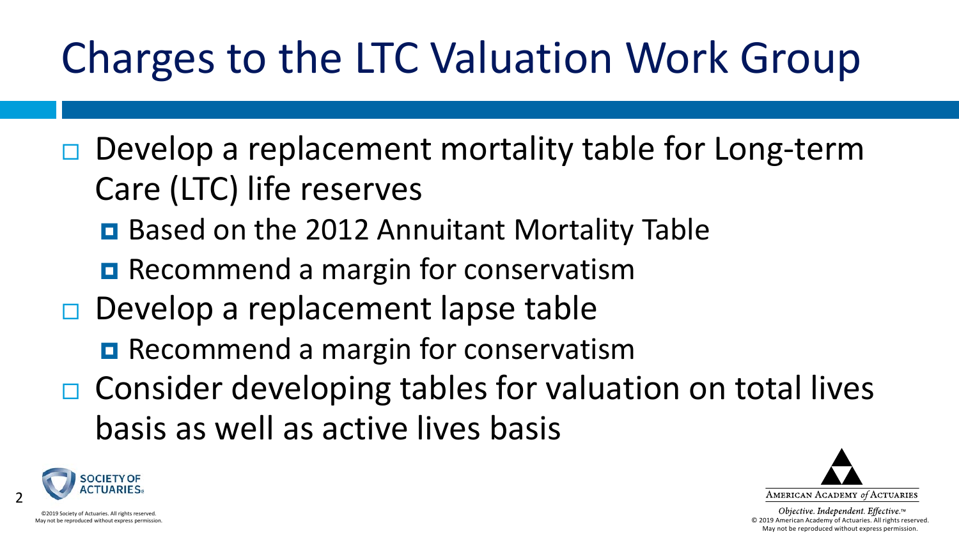# Charges to the LTC Valuation Work Group

- $\Box$  Develop a replacement mortality table for Long-term Care (LTC) life reserves
	- Based on the 2012 Annuitant Mortality Table
	- **Recommend a margin for conservatism**
- $\Box$  Develop a replacement lapse table
	- **Recommend a margin for conservatism**
- $\Box$  Consider developing tables for valuation on total lives basis as well as active lives basis



2

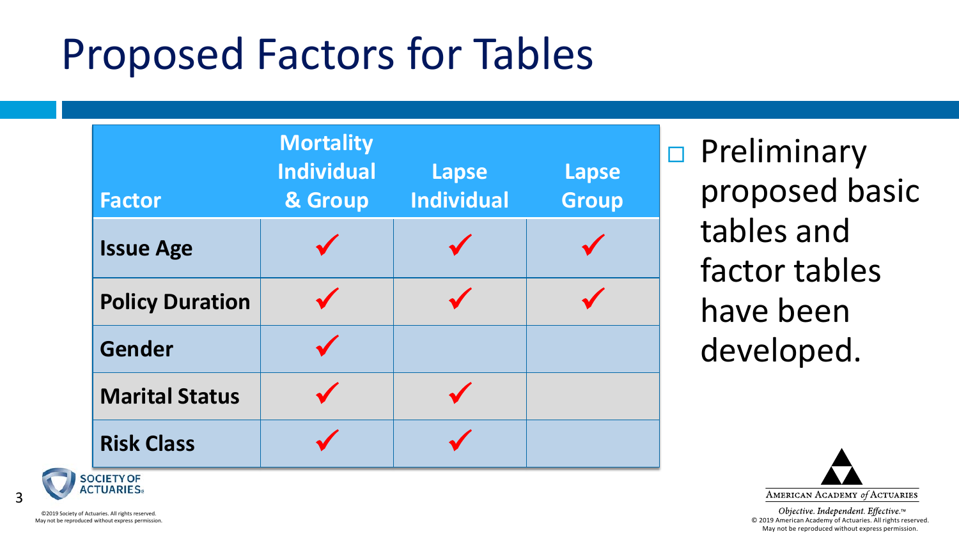## Proposed Factors for Tables

| <b>Factor</b>          | <b>Mortality</b><br><b>Individual</b><br>& Group | <b>Lapse</b><br><b>Individual</b> | <b>Lapse</b><br><b>Group</b> |
|------------------------|--------------------------------------------------|-----------------------------------|------------------------------|
| <b>Issue Age</b>       |                                                  |                                   |                              |
| <b>Policy Duration</b> |                                                  |                                   |                              |
| <b>Gender</b>          |                                                  |                                   |                              |
| <b>Marital Status</b>  |                                                  |                                   |                              |
| <b>Risk Class</b>      |                                                  |                                   |                              |

 $\Box$  Preliminary proposed basic tables and factor tables have been developed.



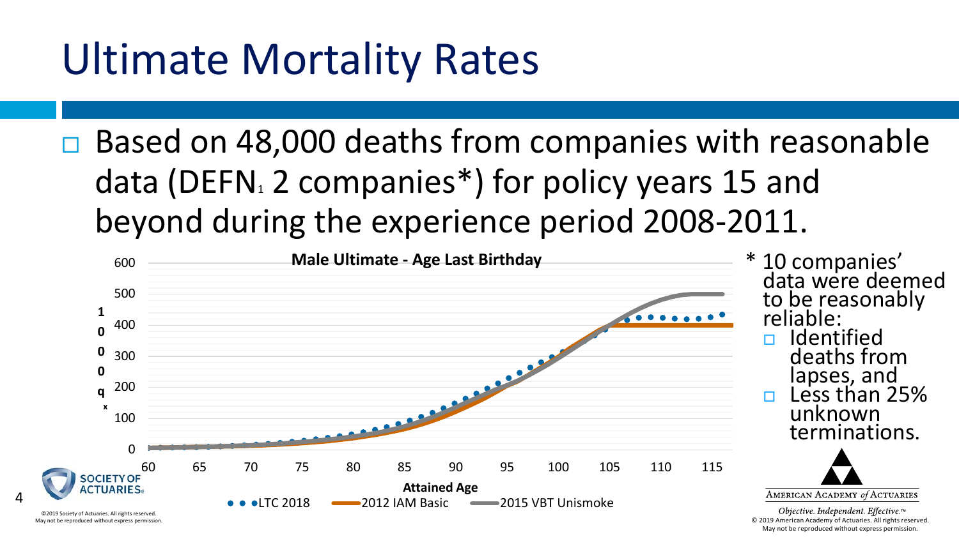## Ultimate Mortality Rates

 $\Box$  Based on 48,000 deaths from companies with reasonable data (DEFN $_1$  2 companies\*) for policy years 15 and beyond during the experience period 2008-2011.



May not be reproduced without express permission.

May not be reproduced without express permission.

4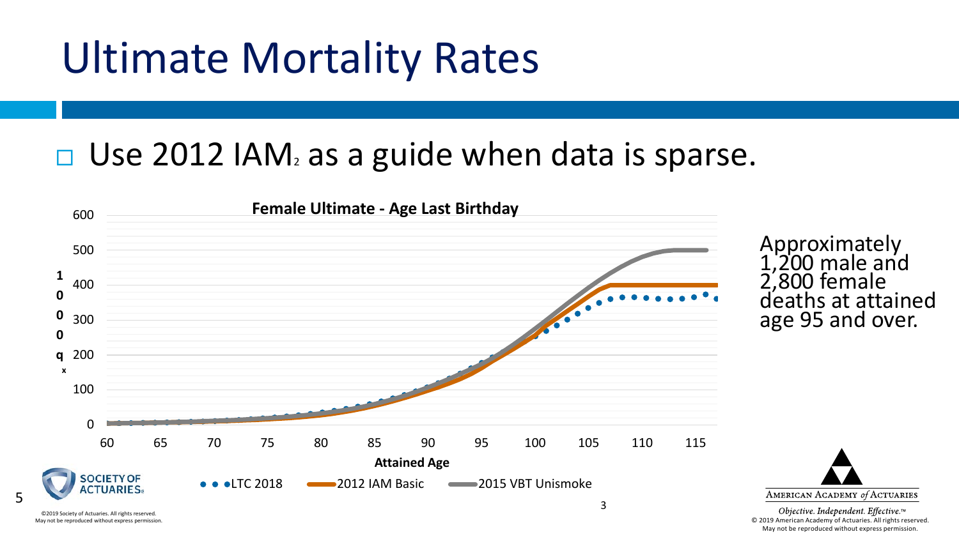### Ultimate Mortality Rates

5

©2019 Society of Actuaries. All rights reserved. May not be reproduced without express permission.

#### $\Box$  Use 2012 IAM<sub>2</sub> as a guide when data is sparse.



#### Approximately 1,200 male and 2,800 female deaths at attained age 95 and over.

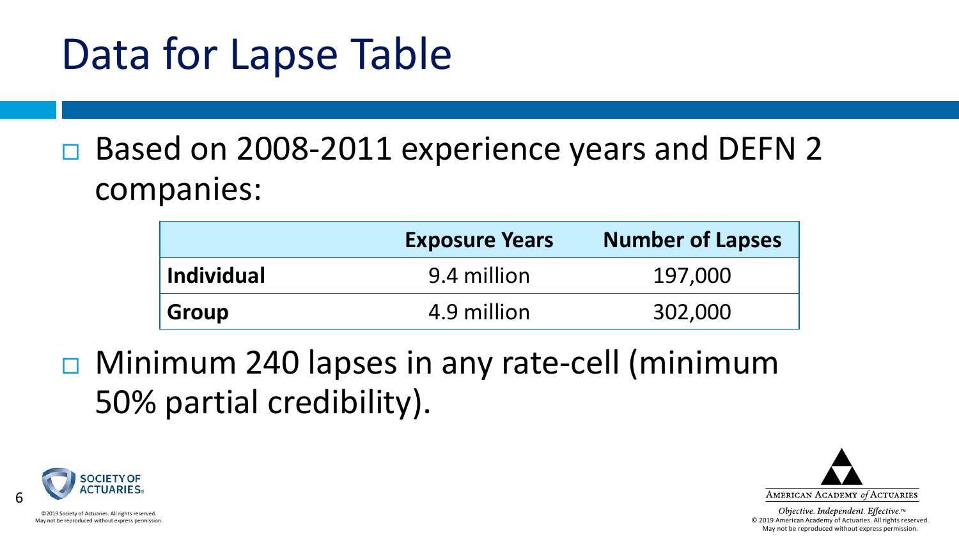## Data for Lapse Table

#### □ Based on 2008-2011 experience years and DEFN 2 companies:

|                   | <b>Exposure Years</b> | <b>Number of Lapses</b> |
|-------------------|-----------------------|-------------------------|
| <b>Individual</b> | 9.4 million           | 197,000                 |
| <b>Group</b>      | 4.9 million           | 302,000                 |

 Minimum 240 lapses in any rate-cell (minimum 50% partial credibility).



6



Objective. Independent. Effective.™ © 2019 American Academy of Actuaries. All rights reserved. May not be reproduced without express permission.

©2019 Society of Actuaries. All rights reserved. May not be reproduced without express permission.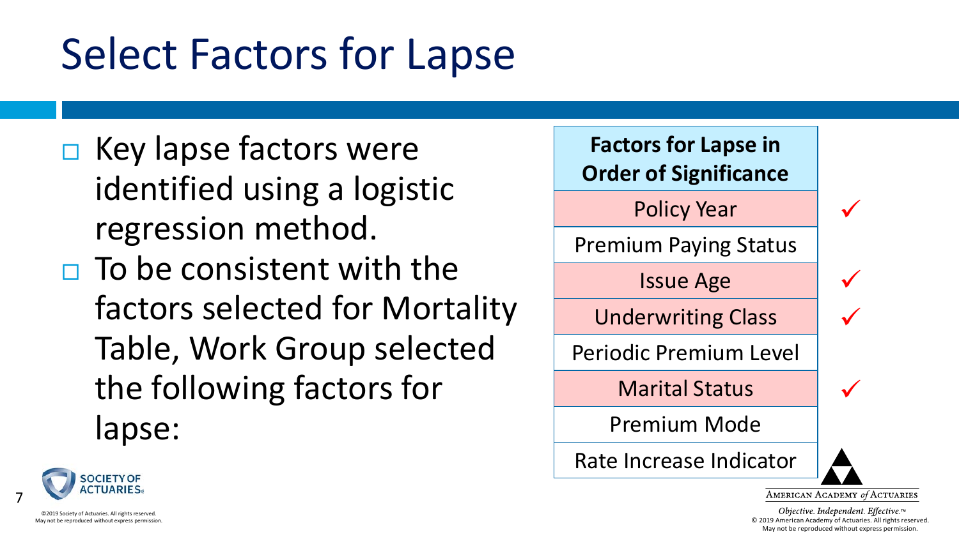## Select Factors for Lapse

- $\Box$  Key lapse factors were identified using a logistic regression method.
- $\Box$  To be consistent with the factors selected for Mortality Table, Work Group selected the following factors for lapse:





7

AMERICAN ACADEMY of ACTUARIES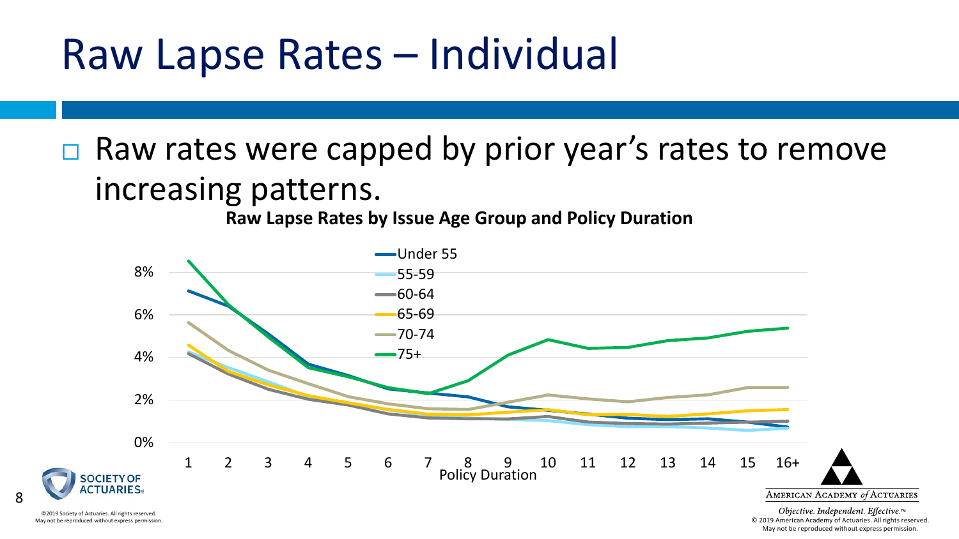#### Raw Lapse Rates – Individual

 $\Box$  Raw rates were capped by prior year's rates to remove increasing patterns.

**Raw Lapse Rates by Issue Age Group and Policy Duration**



©2019 Society of Actuaries. All rights reserved. May not be reproduced without express permission.

8

© 2019 American Academy of Actuaries. All rights reserved. May not be reproduced without express permission.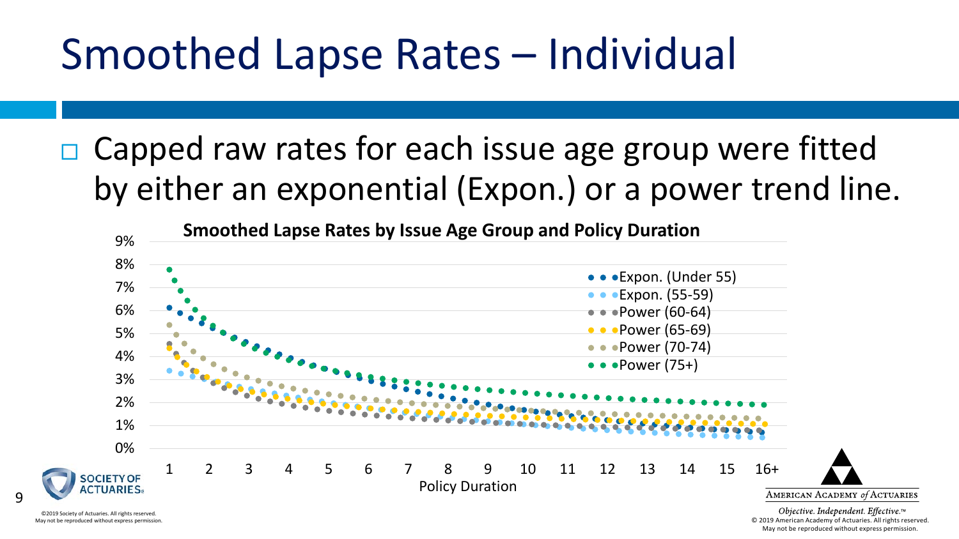### Smoothed Lapse Rates – Individual

 $\Box$  Capped raw rates for each issue age group were fitted by either an exponential (Expon.) or a power trend line.



©2019 Society of Actuaries. All rights reserved. May not be reproduced without express permission.

9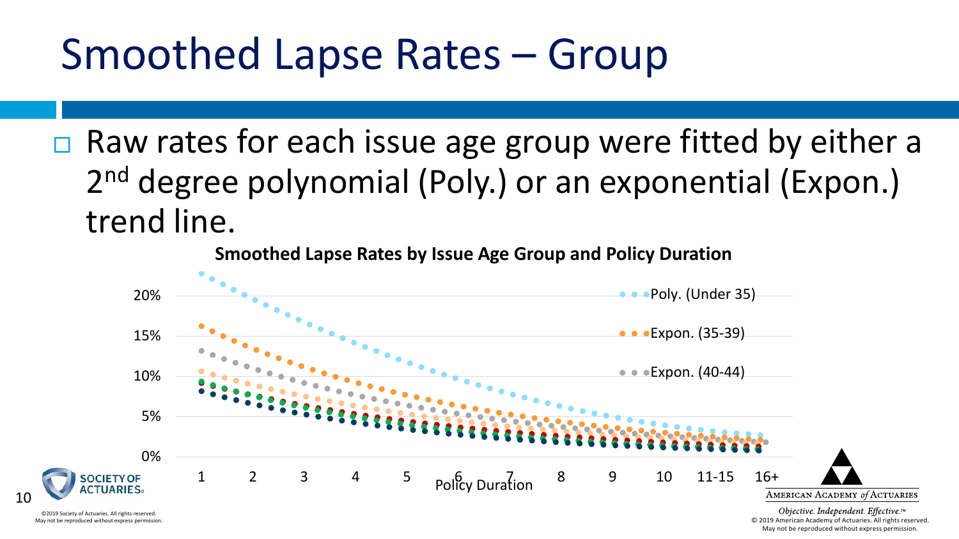### Smoothed Lapse Rates – Group

 $\Box$  Raw rates for each issue age group were fitted by either a 2<sup>nd</sup> degree polynomial (Poly.) or an exponential (Expon.) trend line.

**Smoothed Lapse Rates by Issue Age Group and Policy Duration**



May not be reproduced without express permission.

10

© 2019 American Academy of Actuaries. All rights reserved. May not be reproduced without express permission.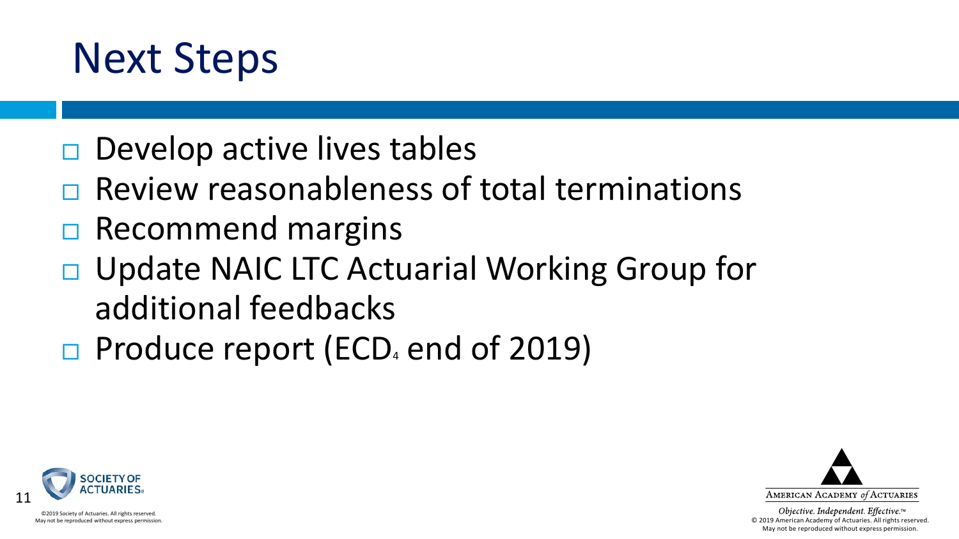

- $\Box$  Develop active lives tables
- $\Box$  Review reasonableness of total terminations
- $\Box$  Recommend margins
- □ Update NAIC LTC Actuarial Working Group for additional feedbacks
- $\Box$  Produce report (ECD<sub>4</sub> end of 2019)





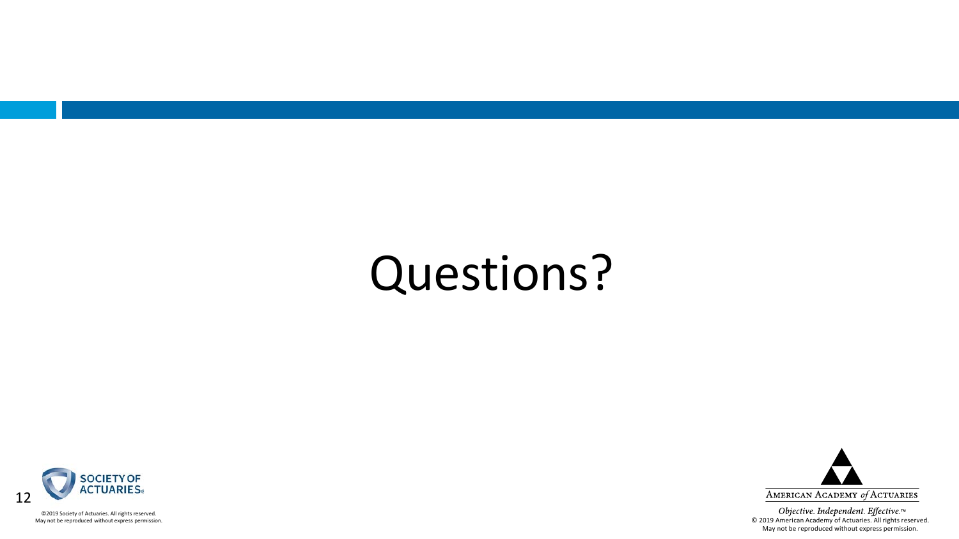# Questions?



©2019 Society of Actuaries. All rights reserved. May not be reproduced without express permission.

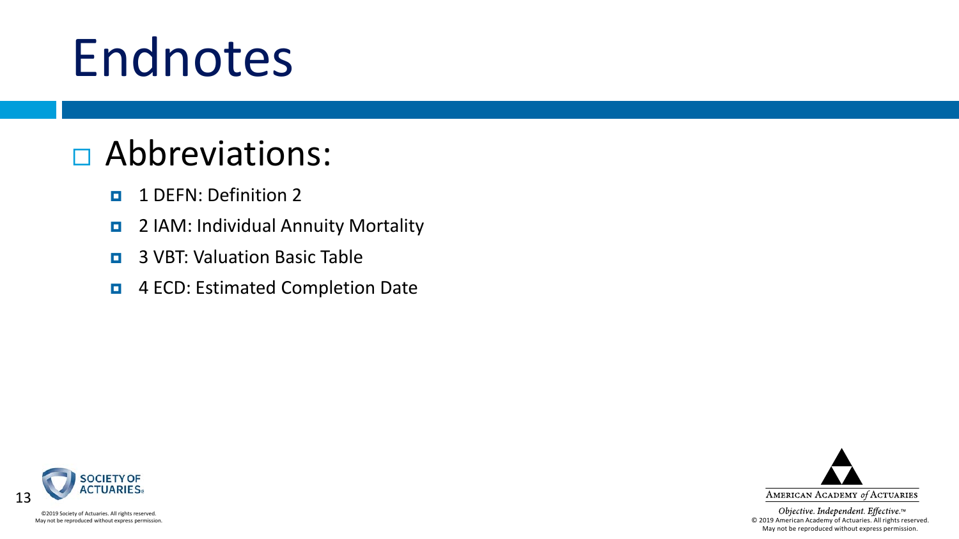# Endnotes

#### Abbreviations:

- **1** DEFN: Definition 2
- $\blacksquare$  2 IAM: Individual Annuity Mortality
- **E** 3 VBT: Valuation Basic Table
- **E** 4 ECD: Estimated Completion Date



©2019 Society of Actuaries. All rights reserved. May not be reproduced without express permission.